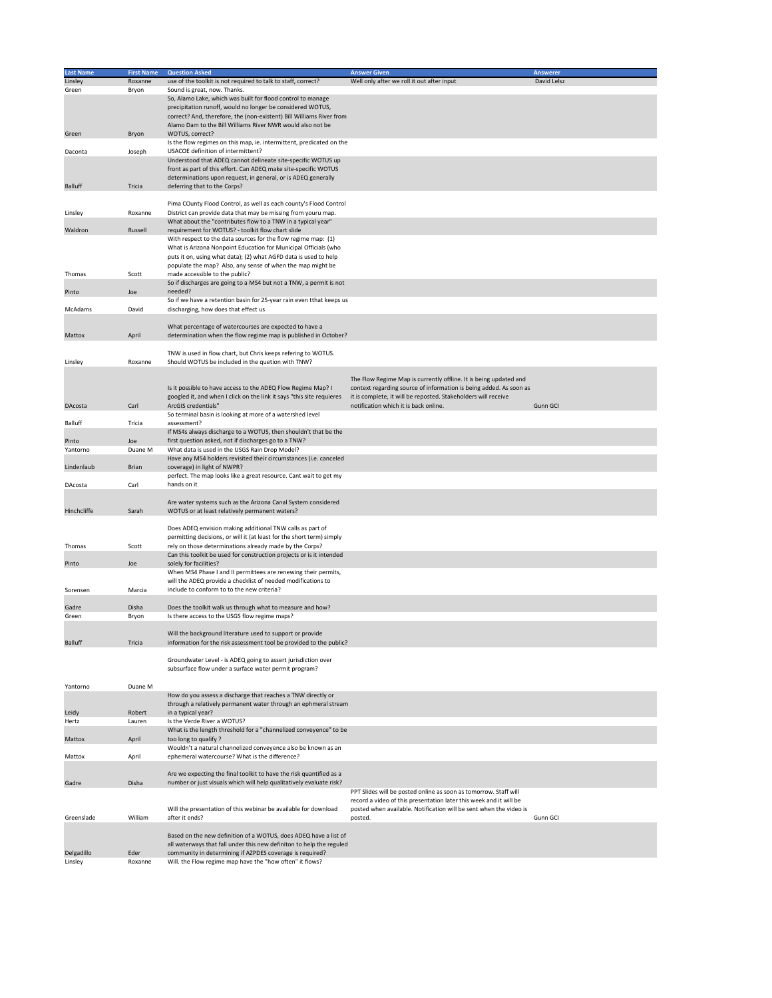| <b>Last Name</b> | <b>First Name</b> | <b>Question Asked</b>                                                 | <b>Answer Given</b>                                                | <b>Answerer</b> |
|------------------|-------------------|-----------------------------------------------------------------------|--------------------------------------------------------------------|-----------------|
| Linsley          | Roxanne           | use of the toolkit is not required to talk to staff, correct?         | Well only after we roll it out after input                         | David Lelsz     |
| Green            | Bryon             | Sound is great, now. Thanks.                                          |                                                                    |                 |
|                  |                   | So, Alamo Lake, which was built for flood control to manage           |                                                                    |                 |
|                  |                   | precipitation runoff, would no longer be considered WOTUS,            |                                                                    |                 |
|                  |                   | correct? And, therefore, the (non-existent) Bill Williams River from  |                                                                    |                 |
|                  |                   | Alamo Dam to the Bill Williams River NWR would also not be            |                                                                    |                 |
| Green            | Bryon             | WOTUS, correct?                                                       |                                                                    |                 |
|                  |                   | Is the flow regimes on this map, ie. intermittent, predicated on the  |                                                                    |                 |
| Daconta          | Joseph            | USACOE definition of intermittent?                                    |                                                                    |                 |
|                  |                   | Understood that ADEQ cannot delineate site-specific WOTUS up          |                                                                    |                 |
|                  |                   | front as part of this effort. Can ADEQ make site-specific WOTUS       |                                                                    |                 |
|                  |                   | determinations upon request, in general, or is ADEQ generally         |                                                                    |                 |
| <b>Balluff</b>   | Tricia            | deferring that to the Corps?                                          |                                                                    |                 |
|                  |                   |                                                                       |                                                                    |                 |
|                  |                   | Pima COunty Flood Control, as well as each county's Flood Control     |                                                                    |                 |
| Linsley          | Roxanne           | District can provide data that may be missing from youru map.         |                                                                    |                 |
|                  |                   | What about the "contributes flow to a TNW in a typical year"          |                                                                    |                 |
| Waldron          | Russell           | requirement for WOTUS? - toolkit flow chart slide                     |                                                                    |                 |
|                  |                   | With respect to the data sources for the flow regime map: (1)         |                                                                    |                 |
|                  |                   | What is Arizona Nonpoint Education for Municipal Officials (who       |                                                                    |                 |
|                  |                   |                                                                       |                                                                    |                 |
|                  |                   | puts it on, using what data); (2) what AGFD data is used to help      |                                                                    |                 |
|                  |                   | populate the map? Also, any sense of when the map might be            |                                                                    |                 |
| Thomas           | Scott             | made accessible to the public?                                        |                                                                    |                 |
|                  |                   | So if discharges are going to a MS4 but not a TNW, a permit is not    |                                                                    |                 |
| Pinto            | Joe               | needed?                                                               |                                                                    |                 |
|                  |                   | So if we have a retention basin for 25-year rain even tthat keeps us  |                                                                    |                 |
| McAdams          | David             | discharging, how does that effect us                                  |                                                                    |                 |
|                  |                   |                                                                       |                                                                    |                 |
|                  |                   | What percentage of watercourses are expected to have a                |                                                                    |                 |
| Mattox           | April             | determination when the flow regime map is published in October?       |                                                                    |                 |
|                  |                   |                                                                       |                                                                    |                 |
|                  |                   | TNW is used in flow chart, but Chris keeps refering to WOTUS.         |                                                                    |                 |
| Linsley          | Roxanne           | Should WOTUS be included in the quetion with TNW?                     |                                                                    |                 |
|                  |                   |                                                                       |                                                                    |                 |
|                  |                   |                                                                       | The Flow Regime Map is currently offline. It is being updated and  |                 |
|                  |                   | Is it possible to have access to the ADEQ Flow Regime Map? I          | context regarding source of information is being added. As soon as |                 |
|                  |                   | googled it, and when I click on the link it says "this site requieres | it is complete, it will be reposted. Stakeholders will receive     |                 |
| <b>DAcosta</b>   | Carl              | ArcGIS credentials"                                                   | notification which it is back online.                              | <b>Gunn GCI</b> |
|                  |                   | So terminal basin is looking at more of a watershed level             |                                                                    |                 |
| <b>Balluff</b>   | Tricia            | assessment?                                                           |                                                                    |                 |
|                  |                   | If MS4s always discharge to a WOTUS, then shouldn't that be the       |                                                                    |                 |
| Pinto            | Joe               | first question asked, not if discharges go to a TNW?                  |                                                                    |                 |
| Yantorno         | Duane M           | What data is used in the USGS Rain Drop Model?                        |                                                                    |                 |
|                  |                   | Have any MS4 holders revisited their circumstances (i.e. canceled     |                                                                    |                 |
| Lindenlaub       | <b>Brian</b>      | coverage) in light of NWPR?                                           |                                                                    |                 |
|                  |                   | perfect. The map looks like a great resource. Cant wait to get my     |                                                                    |                 |
| DAcosta          | Carl              | hands on it                                                           |                                                                    |                 |
|                  |                   |                                                                       |                                                                    |                 |
|                  |                   | Are water systems such as the Arizona Canal System considered         |                                                                    |                 |
| Hinchcliffe      | Sarah             | WOTUS or at least relatively permanent waters?                        |                                                                    |                 |
|                  |                   |                                                                       |                                                                    |                 |
|                  |                   | Does ADEQ envision making additional TNW calls as part of             |                                                                    |                 |
|                  |                   | permitting decisions, or will it (at least for the short term) simply |                                                                    |                 |
| Thomas           | Scott             | rely on those determinations already made by the Corps?               |                                                                    |                 |
|                  |                   | Can this toolkit be used for construction projects or is it intended  |                                                                    |                 |
| Pinto            | Joe               | solely for facilities?                                                |                                                                    |                 |
|                  |                   | When MS4 Phase I and II permittees are renewing their permits,        |                                                                    |                 |
|                  |                   | will the ADEQ provide a checklist of needed modifications to          |                                                                    |                 |
| Sorensen         | Marcia            | include to conform to to the new criteria?                            |                                                                    |                 |
|                  |                   |                                                                       |                                                                    |                 |
| Gadre            | Disha             | Does the toolkit walk us through what to measure and how?             |                                                                    |                 |
| Green            | Bryon             | Is there access to the USGS flow regime maps?                         |                                                                    |                 |
|                  |                   |                                                                       |                                                                    |                 |
|                  |                   | Will the background literature used to support or provide             |                                                                    |                 |
| <b>Balluff</b>   | Tricia            | information for the risk assessment tool be provided to the public?   |                                                                    |                 |
|                  |                   |                                                                       |                                                                    |                 |
|                  |                   | Groundwater Level - is ADEQ going to assert jurisdiction over         |                                                                    |                 |
|                  |                   | subsurface flow under a surface water permit program?                 |                                                                    |                 |
|                  |                   |                                                                       |                                                                    |                 |
| Yantorno         | Duane M           |                                                                       |                                                                    |                 |
|                  |                   | How do you assess a discharge that reaches a TNW directly or          |                                                                    |                 |
|                  |                   | through a relatively permanent water through an ephmeral stream       |                                                                    |                 |
| Leidy            | Robert            | in a typical year?                                                    |                                                                    |                 |
| Hertz            | Lauren            | Is the Verde River a WOTUS?                                           |                                                                    |                 |
|                  |                   | What is the length threshold for a "channelized conveyence" to be     |                                                                    |                 |
| Mattox           | April             | too long to qualify ?                                                 |                                                                    |                 |
|                  |                   | Wouldn't a natural channelized conveyence also be known as an         |                                                                    |                 |
| Mattox           | April             | ephemeral watercourse? What is the difference?                        |                                                                    |                 |
|                  |                   |                                                                       |                                                                    |                 |
|                  |                   | Are we expecting the final toolkit to have the risk quantified as a   |                                                                    |                 |
| Gadre            | Disha             | number or just visuals which will help qualitatively evaluate risk?   |                                                                    |                 |
|                  |                   |                                                                       | PPT Slides will be posted online as soon as tomorrow. Staff will   |                 |
|                  |                   |                                                                       | record a video of this presentation later this week and it will be |                 |
|                  |                   |                                                                       |                                                                    |                 |
|                  |                   | Will the presentation of this webinar be available for download       | posted when available. Notification will be sent when the video is |                 |
| Greenslade       | William           | after it ends?                                                        | posted.                                                            | Gunn GCI        |
|                  |                   |                                                                       |                                                                    |                 |
|                  |                   | Based on the new definition of a WOTUS, does ADEQ have a list of      |                                                                    |                 |
|                  |                   | all waterways that fall under this new definiton to help the reguled  |                                                                    |                 |
| Delgadillo       | Eder              | community in determining if AZPDES coverage is required?              |                                                                    |                 |
| Linsley          | Roxanne           | Will. the Flow regime map have the "how often" it flows?              |                                                                    |                 |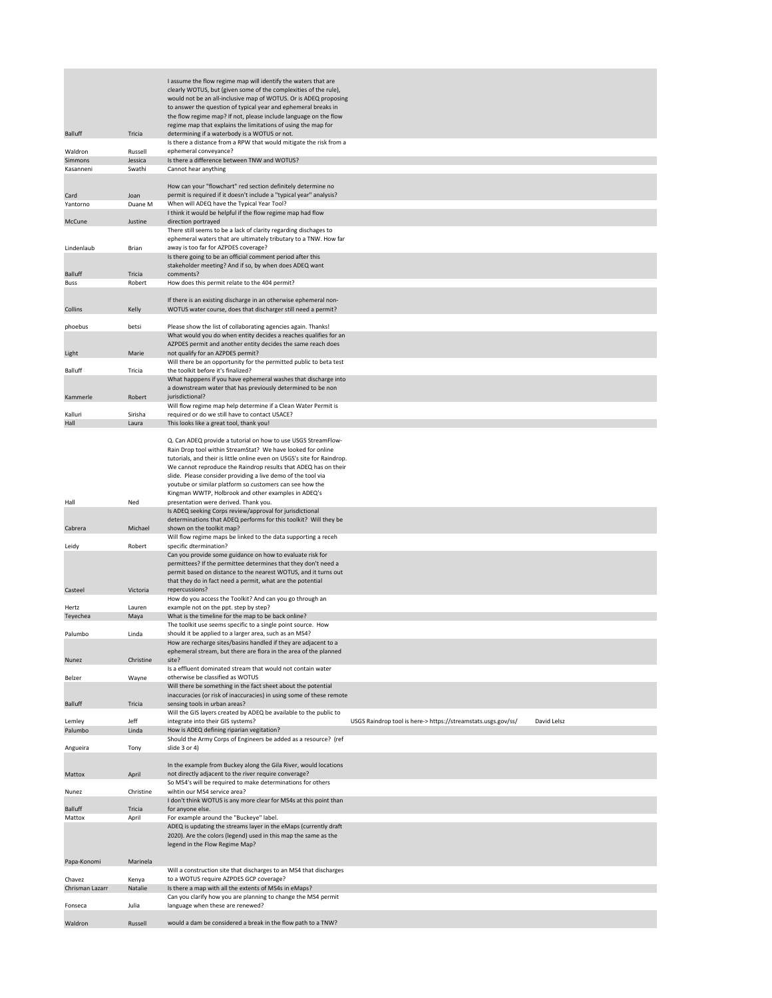|                           |                   | I assume the flow regime map will identify the waters that are<br>clearly WOTUS, but (given some of the complexities of the rule),<br>would not be an all-inclusive map of WOTUS. Or is ADEQ proposing<br>to answer the question of typical year and ephemeral breaks in<br>the flow regime map? If not, please include language on the flow<br>regime map that explains the limitations of using the map for                                                                                          |                                                               |             |
|---------------------------|-------------------|--------------------------------------------------------------------------------------------------------------------------------------------------------------------------------------------------------------------------------------------------------------------------------------------------------------------------------------------------------------------------------------------------------------------------------------------------------------------------------------------------------|---------------------------------------------------------------|-------------|
| <b>Balluff</b><br>Waldron | Tricia<br>Russell | determining if a waterbody is a WOTUS or not.<br>Is there a distance from a RPW that would mitigate the risk from a<br>ephemeral conveyance?                                                                                                                                                                                                                                                                                                                                                           |                                                               |             |
| <b>Simmons</b>            | Jessica           | Is there a difference between TNW and WOTUS?                                                                                                                                                                                                                                                                                                                                                                                                                                                           |                                                               |             |
| Kasanneni                 | Swathi            | Cannot hear anything                                                                                                                                                                                                                                                                                                                                                                                                                                                                                   |                                                               |             |
|                           |                   | How can your "flowchart" red section definitely determine no                                                                                                                                                                                                                                                                                                                                                                                                                                           |                                                               |             |
| Card                      | Joan              | permit is required if it doesn't include a "typical year" analysis?                                                                                                                                                                                                                                                                                                                                                                                                                                    |                                                               |             |
| Yantorno                  | Duane M           | When will ADEQ have the Typical Year Tool?                                                                                                                                                                                                                                                                                                                                                                                                                                                             |                                                               |             |
| McCune                    | Justine           | I think it would be helpful if the flow regime map had flow<br>direction portrayed                                                                                                                                                                                                                                                                                                                                                                                                                     |                                                               |             |
|                           |                   | There still seems to be a lack of clarity regarding dischages to<br>ephemeral waters that are ultimately tributary to a TNW. How far                                                                                                                                                                                                                                                                                                                                                                   |                                                               |             |
| Lindenlaub                | <b>Brian</b>      | away is too far for AZPDES coverage?                                                                                                                                                                                                                                                                                                                                                                                                                                                                   |                                                               |             |
|                           |                   | Is there going to be an official comment period after this<br>stakeholder meeting? And if so, by when does ADEQ want                                                                                                                                                                                                                                                                                                                                                                                   |                                                               |             |
| <b>Balluff</b>            | Tricia            | comments?                                                                                                                                                                                                                                                                                                                                                                                                                                                                                              |                                                               |             |
| <b>Buss</b>               | Robert            | How does this permit relate to the 404 permit?                                                                                                                                                                                                                                                                                                                                                                                                                                                         |                                                               |             |
|                           |                   | If there is an existing discharge in an otherwise ephemeral non-                                                                                                                                                                                                                                                                                                                                                                                                                                       |                                                               |             |
| Collins                   | Kelly             | WOTUS water course, does that discharger still need a permit?                                                                                                                                                                                                                                                                                                                                                                                                                                          |                                                               |             |
|                           |                   |                                                                                                                                                                                                                                                                                                                                                                                                                                                                                                        |                                                               |             |
| phoebus                   | betsi             | Please show the list of collaborating agencies again. Thanks!                                                                                                                                                                                                                                                                                                                                                                                                                                          |                                                               |             |
|                           |                   | What would you do when entity decides a reaches qualifies for an<br>AZPDES permit and another entity decides the same reach does                                                                                                                                                                                                                                                                                                                                                                       |                                                               |             |
| Light                     | Marie             | not qualify for an AZPDES permit?                                                                                                                                                                                                                                                                                                                                                                                                                                                                      |                                                               |             |
|                           |                   | Will there be an opportunity for the permitted public to beta test                                                                                                                                                                                                                                                                                                                                                                                                                                     |                                                               |             |
| <b>Balluff</b>            | Tricia            | the toolkit before it's finalized?<br>What happpens if you have ephemeral washes that discharge into                                                                                                                                                                                                                                                                                                                                                                                                   |                                                               |             |
|                           |                   | a downstream water that has previously determined to be non                                                                                                                                                                                                                                                                                                                                                                                                                                            |                                                               |             |
| Kammerle                  | Robert            | jurisdictional?                                                                                                                                                                                                                                                                                                                                                                                                                                                                                        |                                                               |             |
| Kalluri                   | Sirisha           | Will flow regime map help determine if a Clean Water Permit is<br>required or do we still have to contact USACE?                                                                                                                                                                                                                                                                                                                                                                                       |                                                               |             |
| Hall                      | Laura             | This looks like a great tool, thank you!                                                                                                                                                                                                                                                                                                                                                                                                                                                               |                                                               |             |
| Hall                      | Ned               | Q. Can ADEQ provide a tutorial on how to use USGS StreamFlow-<br>Rain Drop tool within StreamStat? We have looked for online<br>tutorials, and their is little online even on USGS's site for Raindrop.<br>We cannot reproduce the Raindrop results that ADEQ has on their<br>slide. Please consider providing a live demo of the tool via<br>youtube or similar platform so customers can see how the<br>Kingman WWTP, Holbrook and other examples in ADEQ's<br>presentation were derived. Thank you. |                                                               |             |
|                           |                   | Is ADEQ seeking Corps review/approval for jurisdictional                                                                                                                                                                                                                                                                                                                                                                                                                                               |                                                               |             |
|                           |                   | determinations that ADEQ performs for this toolkit? Will they be                                                                                                                                                                                                                                                                                                                                                                                                                                       |                                                               |             |
| Cabrera                   | Michael           | shown on the toolkit map?<br>Will flow regime maps be linked to the data supporting a receh                                                                                                                                                                                                                                                                                                                                                                                                            |                                                               |             |
| Leidy                     | Robert            | specific dtermination?                                                                                                                                                                                                                                                                                                                                                                                                                                                                                 |                                                               |             |
|                           |                   | Can you provide some guidance on how to evaluate risk for<br>permittees? If the permittee determines that they don't need a<br>permit based on distance to the nearest WOTUS, and it turns out<br>that they do in fact need a permit, what are the potential                                                                                                                                                                                                                                           |                                                               |             |
| Casteel                   | Victoria          | repercussions?                                                                                                                                                                                                                                                                                                                                                                                                                                                                                         |                                                               |             |
|                           |                   | How do you access the Toolkit? And can you go through an                                                                                                                                                                                                                                                                                                                                                                                                                                               |                                                               |             |
| Hertz<br>Teyechea         | Lauren<br>Maya    | example not on the ppt. step by step?<br>What is the timeline for the map to be back online?                                                                                                                                                                                                                                                                                                                                                                                                           |                                                               |             |
|                           |                   | The toolkit use seems specific to a single point source. How                                                                                                                                                                                                                                                                                                                                                                                                                                           |                                                               |             |
| Palumbo                   | Linda             | should it be applied to a larger area, such as an MS4?                                                                                                                                                                                                                                                                                                                                                                                                                                                 |                                                               |             |
|                           |                   | How are recharge sites/basins handled if they are adjacent to a<br>ephemeral stream, but there are flora in the area of the planned                                                                                                                                                                                                                                                                                                                                                                    |                                                               |             |
| Nunez                     | Christine         | site?                                                                                                                                                                                                                                                                                                                                                                                                                                                                                                  |                                                               |             |
|                           |                   | Is a effluent dominated stream that would not contain water                                                                                                                                                                                                                                                                                                                                                                                                                                            |                                                               |             |
| Belzer                    | Wayne             | otherwise be classified as WOTUS<br>Will there be something in the fact sheet about the potential                                                                                                                                                                                                                                                                                                                                                                                                      |                                                               |             |
|                           |                   | inaccuracies (or risk of inaccuracies) in using some of these remote                                                                                                                                                                                                                                                                                                                                                                                                                                   |                                                               |             |
| <b>Balluff</b>            | Tricia            | sensing tools in urban areas?<br>Will the GIS layers created by ADEQ be available to the public to                                                                                                                                                                                                                                                                                                                                                                                                     |                                                               |             |
| Lemley                    | Jeff              | integrate into their GIS systems?                                                                                                                                                                                                                                                                                                                                                                                                                                                                      | USGS Raindrop tool is here-> https://streamstats.usgs.gov/ss/ | David Lelsz |
| Palumbo                   | Linda             | How is ADEQ defining riparian vegitation?                                                                                                                                                                                                                                                                                                                                                                                                                                                              |                                                               |             |
|                           |                   | Should the Army Corps of Engineers be added as a resource? (ref<br>slide 3 or 4)                                                                                                                                                                                                                                                                                                                                                                                                                       |                                                               |             |
| Angueira                  | Tony              |                                                                                                                                                                                                                                                                                                                                                                                                                                                                                                        |                                                               |             |
|                           |                   | In the example from Buckey along the Gila River, would locations                                                                                                                                                                                                                                                                                                                                                                                                                                       |                                                               |             |
| Mattox                    | April             | not directly adjacent to the river require converage?                                                                                                                                                                                                                                                                                                                                                                                                                                                  |                                                               |             |
| Nunez                     | Christine         | So MS4's will be required to make determinations for others<br>wihtin our MS4 service area?                                                                                                                                                                                                                                                                                                                                                                                                            |                                                               |             |
|                           |                   | I don't think WOTUS is any more clear for MS4s at this point than                                                                                                                                                                                                                                                                                                                                                                                                                                      |                                                               |             |
| <b>Balluff</b>            | Tricia            | for anyone else.<br>For example around the "Buckeye" label.                                                                                                                                                                                                                                                                                                                                                                                                                                            |                                                               |             |
| Mattox                    | April             | ADEQ is updating the streams layer in the eMaps (currently draft                                                                                                                                                                                                                                                                                                                                                                                                                                       |                                                               |             |
|                           |                   | 2020). Are the colors (legend) used in this map the same as the                                                                                                                                                                                                                                                                                                                                                                                                                                        |                                                               |             |
|                           |                   | legend in the Flow Regime Map?                                                                                                                                                                                                                                                                                                                                                                                                                                                                         |                                                               |             |
| Papa-Konomi               | Marinela          |                                                                                                                                                                                                                                                                                                                                                                                                                                                                                                        |                                                               |             |
|                           |                   | Will a construction site that discharges to an MS4 that discharges                                                                                                                                                                                                                                                                                                                                                                                                                                     |                                                               |             |
| Chavez                    | Kenya             | to a WOTUS require AZPDES GCP coverage?                                                                                                                                                                                                                                                                                                                                                                                                                                                                |                                                               |             |
| Chrisman Lazarr           | Natalie           | Is there a map with all the extents of MS4s in eMaps?<br>Can you clarify how you are planning to change the MS4 permit                                                                                                                                                                                                                                                                                                                                                                                 |                                                               |             |
| Fonseca                   | Julia             | language when these are renewed?                                                                                                                                                                                                                                                                                                                                                                                                                                                                       |                                                               |             |
|                           |                   |                                                                                                                                                                                                                                                                                                                                                                                                                                                                                                        |                                                               |             |
| Waldron                   | Russell           | would a dam be considered a break in the flow path to a TNW?                                                                                                                                                                                                                                                                                                                                                                                                                                           |                                                               |             |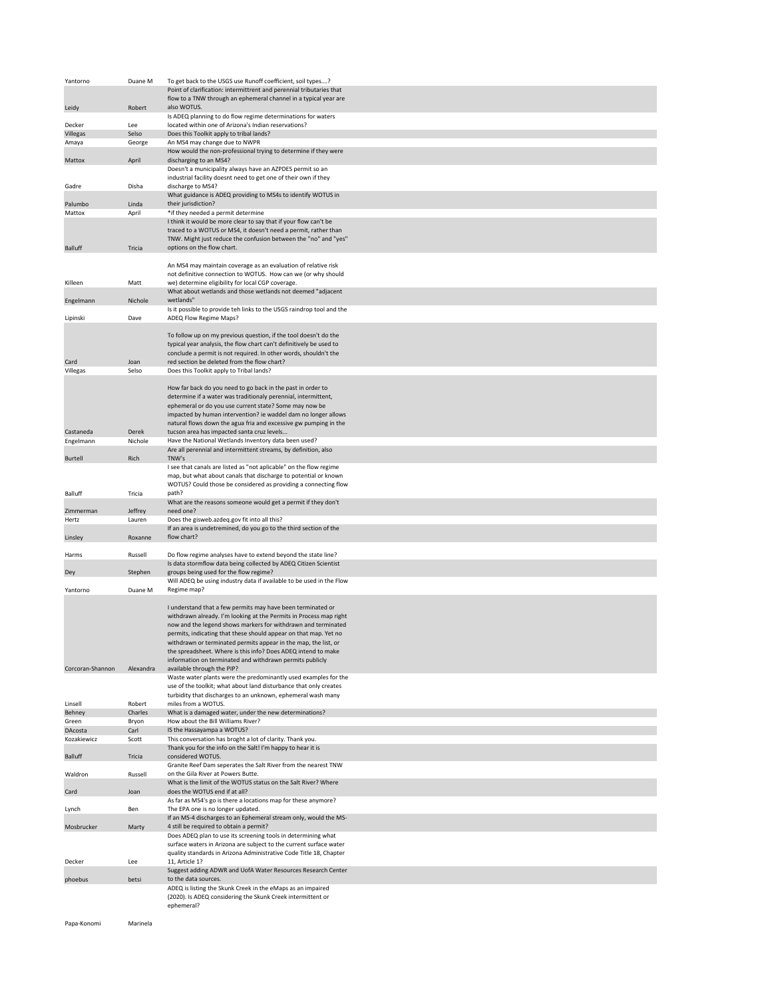| Yantorno         | Duane M          | To get back to the USGS use Runoff coefficient, soil types?                                                                              |
|------------------|------------------|------------------------------------------------------------------------------------------------------------------------------------------|
|                  |                  | Point of clarification: intermittrent and perennial tributaries that                                                                     |
|                  |                  | flow to a TNW through an ephemeral channel in a typical year are                                                                         |
| Leidy            | Robert           | also WOTUS.<br>Is ADEQ planning to do flow regime determinations for waters                                                              |
| Decker           | Lee              | located within one of Arizona's Indian reservations?                                                                                     |
| <b>Villegas</b>  | Selso            | Does this Toolkit apply to tribal lands?                                                                                                 |
| Amaya            | George           | An MS4 may change due to NWPR                                                                                                            |
|                  |                  | How would the non-professional trying to determine if they were                                                                          |
| Mattox           | April            | discharging to an MS4?<br>Doesn't a municipality always have an AZPDES permit so an                                                      |
|                  |                  | industrial facility doesnt need to get one of their own if they                                                                          |
| Gadre            | Disha            | discharge to MS4?                                                                                                                        |
|                  |                  | What guidance is ADEQ providing to MS4s to identify WOTUS in                                                                             |
| Palumbo          | Linda            | their jurisdiction?                                                                                                                      |
| Mattox           | April            | *if they needed a permit determine<br>I think it would be more clear to say that if your flow can't be                                   |
|                  |                  | traced to a WOTUS or MS4, it doesn't need a permit, rather than                                                                          |
|                  |                  | TNW. Might just reduce the confusion between the "no" and "yes"                                                                          |
| <b>Balluff</b>   | Tricia           | options on the flow chart.                                                                                                               |
|                  |                  |                                                                                                                                          |
|                  |                  | An MS4 may maintain coverage as an evaluation of relative risk<br>not definitive connection to WOTUS. How can we (or why should          |
| Killeen          | Matt             | we) determine eligibility for local CGP coverage.                                                                                        |
|                  |                  | What about wetlands and those wetlands not deemed "adjacent                                                                              |
| Engelmann        | Nichole          | wetlands"                                                                                                                                |
|                  |                  | Is it possible to provide teh links to the USGS raindrop tool and the                                                                    |
| Lipinski         | Dave             | ADEQ Flow Regime Maps?                                                                                                                   |
|                  |                  | To follow up on my previous question, if the tool doesn't do the                                                                         |
|                  |                  | typical year analysis, the flow chart can't definitively be used to                                                                      |
|                  |                  | conclude a permit is not required. In other words, shouldn't the                                                                         |
| Card             | Joan             | red section be deleted from the flow chart?                                                                                              |
| Villegas         | Selso            | Does this Toolkit apply to Tribal lands?                                                                                                 |
|                  |                  | How far back do you need to go back in the past in order to                                                                              |
|                  |                  | determine if a water was traditionaly perennial, intermittent,                                                                           |
|                  |                  | ephemeral or do you use current state? Some may now be                                                                                   |
|                  |                  | impacted by human intervention? ie waddel dam no longer allows                                                                           |
| Castaneda        | Derek            | natural flows down the agua fria and excessive gw pumping in the<br>tucson area has impacted santa cruz levels                           |
| Engelmann        | Nichole          | Have the National Wetlands Inventory data been used?                                                                                     |
|                  |                  | Are all perennial and intermittent streams, by definition, also                                                                          |
| <b>Burtell</b>   | Rich             | TNW's                                                                                                                                    |
|                  |                  |                                                                                                                                          |
|                  |                  | I see that canals are listed as "not aplicable" on the flow regime                                                                       |
|                  |                  | map, but what about canals that discharge to potential or known                                                                          |
| <b>Balluff</b>   | Tricia           | WOTUS? Could those be considered as providing a connecting flow<br>path?                                                                 |
|                  |                  | What are the reasons someone would get a permit if they don't                                                                            |
| Zimmerman        | Jeffrey          | need one?                                                                                                                                |
| Hertz            | Lauren           | Does the gisweb.azdeq.gov fit into all this?                                                                                             |
| Linsley          | Roxanne          | If an area is undetremined, do you go to the third section of the<br>flow chart?                                                         |
|                  |                  |                                                                                                                                          |
| Harms            | Russell          | Do flow regime analyses have to extend beyond the state line?                                                                            |
| Dey              | Stephen          | Is data stormflow data being collected by ADEQ Citizen Scientist<br>groups being used for the flow regime?                               |
|                  |                  | Will ADEQ be using industry data if available to be used in the Flow                                                                     |
| Yantorno         | Duane M          | Regime map?                                                                                                                              |
|                  |                  |                                                                                                                                          |
|                  |                  | I understand that a few permits may have been terminated or<br>withdrawn already. I'm looking at the Permits in Process map right        |
|                  |                  | now and the legend shows markers for withdrawn and terminated                                                                            |
|                  |                  | permits, indicating that these should appear on that map. Yet no                                                                         |
|                  |                  | withdrawn or terminated permits appear in the map, the list, or                                                                          |
|                  |                  | the spreadsheet. Where is this info? Does ADEQ intend to make                                                                            |
| Corcoran-Shannon | Alexandra        | information on terminated and withdrawn permits publicly<br>available through the PIP?                                                   |
|                  |                  | Waste water plants were the predominantly used examples for the                                                                          |
|                  |                  | use of the toolkit; what about land disturbance that only creates                                                                        |
|                  |                  | turbidity that discharges to an unknown, ephemeral wash many                                                                             |
| Linsell          | Robert           | miles from a WOTUS.                                                                                                                      |
| Behney<br>Green  | Charles<br>Bryon | What is a damaged water, under the new determinations?<br>How about the Bill Williams River?                                             |
| DAcosta          | Carl             | IS the Hassayampa a WOTUS?                                                                                                               |
| Kozakiewicz      | Scott            | This conversation has broght a lot of clarity. Thank you.                                                                                |
|                  |                  | Thank you for the info on the Salt! I'm happy to hear it is                                                                              |
| <b>Balluff</b>   | Tricia           | considered WOTUS.<br>Granite Reef Dam seperates the Salt River from the nearest TNW                                                      |
| Waldron          | Russell          | on the Gila River at Powers Butte.                                                                                                       |
|                  |                  | What is the limit of the WOTUS status on the Salt River? Where                                                                           |
| Card             | Joan             | does the WOTUS end if at all?                                                                                                            |
| Lynch            | Ben              | As far as MS4's go is there a locations map for these anymore?<br>The EPA one is no longer updated.                                      |
|                  |                  | If an MS-4 discharges to an Ephemeral stream only, would the MS-                                                                         |
| Mosbrucker       | Marty            | 4 still be required to obtain a permit?                                                                                                  |
|                  |                  | Does ADEQ plan to use its screening tools in determining what                                                                            |
|                  |                  | surface waters in Arizona are subject to the current surface water<br>quality standards in Arizona Administrative Code Title 18, Chapter |
| Decker           | Lee              | 11, Article 1?                                                                                                                           |
|                  |                  | Suggest adding ADWR and UofA Water Resources Research Center                                                                             |
| phoebus          | betsi            | to the data sources.                                                                                                                     |
|                  |                  | ADEQ is listing the Skunk Creek in the eMaps as an impaired<br>(2020). Is ADEQ considering the Skunk Creek intermittent or<br>ephemeral? |

Papa-Konomi Marinela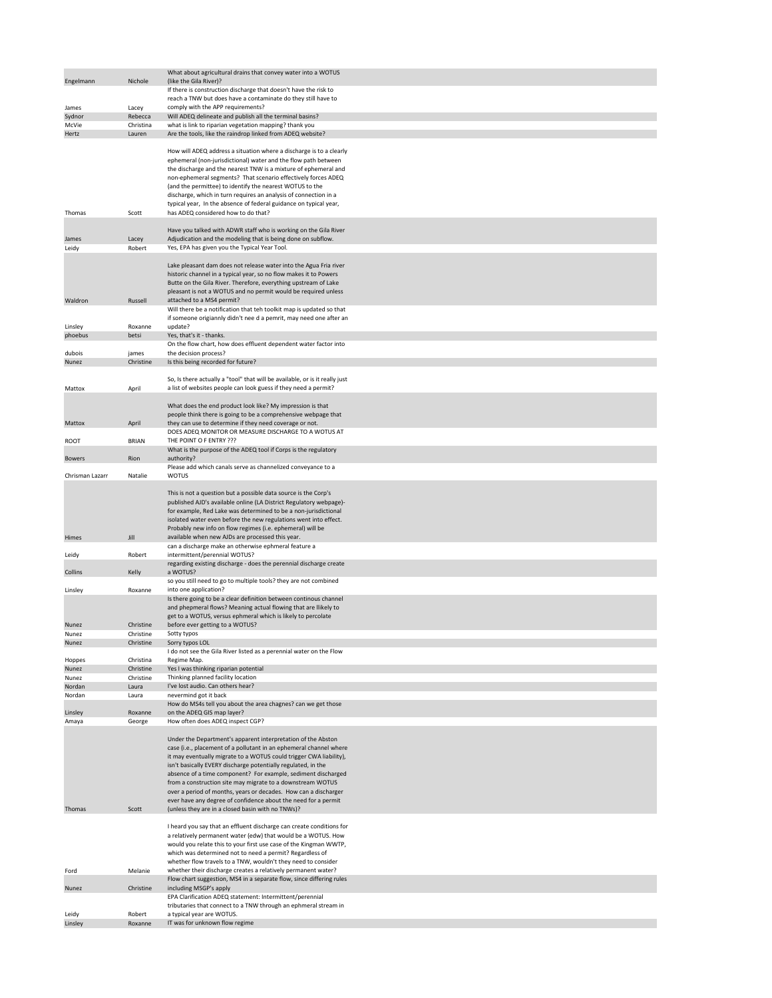|                 |                        | What about agricultural drains that convey water into a WOTUS                                                                                                                                                                                                                                                                                                                                                                                                                                                                                                                     |
|-----------------|------------------------|-----------------------------------------------------------------------------------------------------------------------------------------------------------------------------------------------------------------------------------------------------------------------------------------------------------------------------------------------------------------------------------------------------------------------------------------------------------------------------------------------------------------------------------------------------------------------------------|
| Engelmann       | Nichole                | (like the Gila River)?<br>If there is construction discharge that doesn't have the risk to                                                                                                                                                                                                                                                                                                                                                                                                                                                                                        |
|                 |                        | reach a TNW but does have a contaminate do they still have to                                                                                                                                                                                                                                                                                                                                                                                                                                                                                                                     |
| James           | Lacey                  | comply with the APP requirements?                                                                                                                                                                                                                                                                                                                                                                                                                                                                                                                                                 |
| Sydnor          | Rebecca                | Will ADEQ delineate and publish all the terminal basins?                                                                                                                                                                                                                                                                                                                                                                                                                                                                                                                          |
| McVie           | Christina              | what is link to riparian vegetation mapping? thank you                                                                                                                                                                                                                                                                                                                                                                                                                                                                                                                            |
| Hertz           | Lauren                 | Are the tools, like the raindrop linked from ADEQ website?                                                                                                                                                                                                                                                                                                                                                                                                                                                                                                                        |
|                 |                        | How will ADEQ address a situation where a discharge is to a clearly<br>ephemeral (non-jurisdictional) water and the flow path between<br>the discharge and the nearest TNW is a mixture of ephemeral and<br>non-ephemeral segments? That scenario effectively forces ADEQ<br>(and the permittee) to identify the nearest WOTUS to the<br>discharge, which in turn requires an analysis of connection in a                                                                                                                                                                         |
| Thomas          | Scott                  | typical year, In the absence of federal guidance on typical year,<br>has ADEQ considered how to do that?                                                                                                                                                                                                                                                                                                                                                                                                                                                                          |
| James           | Lacey                  | Have you talked with ADWR staff who is working on the Gila River<br>Adjudication and the modeling that is being done on subflow.                                                                                                                                                                                                                                                                                                                                                                                                                                                  |
| Leidy           | Robert                 | Yes, EPA has given you the Typical Year Tool.                                                                                                                                                                                                                                                                                                                                                                                                                                                                                                                                     |
| Waldron         | Russell                | Lake pleasant dam does not release water into the Agua Fria river<br>historic channel in a typical year, so no flow makes it to Powers<br>Butte on the Gila River. Therefore, everything upstream of Lake<br>pleasant is not a WOTUS and no permit would be required unless<br>attached to a MS4 permit?<br>Will there be a notification that teh toolkit map is updated so that<br>if someone origiannly didn't nee d a pemrit, may need one after an                                                                                                                            |
| Linsley         | Roxanne                | update?                                                                                                                                                                                                                                                                                                                                                                                                                                                                                                                                                                           |
| phoebus         | betsi                  | Yes, that's it - thanks.                                                                                                                                                                                                                                                                                                                                                                                                                                                                                                                                                          |
|                 |                        | On the flow chart, how does effluent dependent water factor into                                                                                                                                                                                                                                                                                                                                                                                                                                                                                                                  |
| dubois          | james                  | the decision process?                                                                                                                                                                                                                                                                                                                                                                                                                                                                                                                                                             |
| <b>Nunez</b>    | Christine              | Is this being recorded for future?                                                                                                                                                                                                                                                                                                                                                                                                                                                                                                                                                |
|                 |                        |                                                                                                                                                                                                                                                                                                                                                                                                                                                                                                                                                                                   |
| Mattox          | April                  | So, Is there actually a "tool" that will be available, or is it really just<br>a list of websites people can look guess if they need a permit?                                                                                                                                                                                                                                                                                                                                                                                                                                    |
|                 |                        | What does the end product look like? My impression is that<br>people think there is going to be a comprehensive webpage that                                                                                                                                                                                                                                                                                                                                                                                                                                                      |
| Mattox          | April                  | they can use to determine if they need coverage or not.                                                                                                                                                                                                                                                                                                                                                                                                                                                                                                                           |
| <b>ROOT</b>     | <b>BRIAN</b>           | DOES ADEQ MONITOR OR MEASURE DISCHARGE TO A WOTUS AT<br>THE POINT O F ENTRY ???<br>What is the purpose of the ADEQ tool if Corps is the regulatory                                                                                                                                                                                                                                                                                                                                                                                                                                |
| <b>Bowers</b>   | Rion                   | authority?<br>Please add which canals serve as channelized conveyance to a                                                                                                                                                                                                                                                                                                                                                                                                                                                                                                        |
| Chrisman Lazarr | Natalie                | <b>WOTUS</b>                                                                                                                                                                                                                                                                                                                                                                                                                                                                                                                                                                      |
| Himes           | Jill                   | This is not a question but a possible data source is the Corp's<br>published AJD's available online (LA District Regulatory webpage)-<br>for example, Red Lake was determined to be a non-jurisdictional<br>isolated water even before the new regulations went into effect.<br>Probably new info on flow regimes (i.e. ephemeral) will be<br>available when new AJDs are processed this year.                                                                                                                                                                                    |
|                 |                        | can a discharge make an otherwise ephmeral feature a                                                                                                                                                                                                                                                                                                                                                                                                                                                                                                                              |
| Leidy           | Robert                 | intermittent/perennial WOTUS?<br>regarding existing discharge - does the perennial discharge create                                                                                                                                                                                                                                                                                                                                                                                                                                                                               |
| Collins         | Kelly                  | a WOTUS?<br>so you still need to go to multiple tools? they are not combined                                                                                                                                                                                                                                                                                                                                                                                                                                                                                                      |
| Linsley         | Roxanne                | into one application?                                                                                                                                                                                                                                                                                                                                                                                                                                                                                                                                                             |
|                 |                        | Is there going to be a clear definition between continous channel<br>and phepmeral flows? Meaning actual flowing that are llikely to<br>get to a WOTUS, versus ephmeral which is likely to percolate                                                                                                                                                                                                                                                                                                                                                                              |
| Nunez           | Christine              | before ever getting to a WOTUS?                                                                                                                                                                                                                                                                                                                                                                                                                                                                                                                                                   |
| Nunez           | Christine              | Sotty typos                                                                                                                                                                                                                                                                                                                                                                                                                                                                                                                                                                       |
| <b>Nunez</b>    | Christine              | Sorry typos LOL                                                                                                                                                                                                                                                                                                                                                                                                                                                                                                                                                                   |
|                 |                        | I do not see the Gila River listed as a perennial water on the Flow                                                                                                                                                                                                                                                                                                                                                                                                                                                                                                               |
| Hoppes<br>Nunez | Christina<br>Christine | Regime Map.<br>Yes I was thinking riparian potential                                                                                                                                                                                                                                                                                                                                                                                                                                                                                                                              |
| Nunez           | Christine              | Thinking planned facility location                                                                                                                                                                                                                                                                                                                                                                                                                                                                                                                                                |
| Nordan          | Laura                  | I've lost audio. Can others hear?                                                                                                                                                                                                                                                                                                                                                                                                                                                                                                                                                 |
| Nordan          | Laura                  | nevermind got it back                                                                                                                                                                                                                                                                                                                                                                                                                                                                                                                                                             |
|                 |                        | How do MS4s tell you about the area chagnes? can we get those                                                                                                                                                                                                                                                                                                                                                                                                                                                                                                                     |
| Linsley         | Roxanne                | on the ADEQ GIS map layer?                                                                                                                                                                                                                                                                                                                                                                                                                                                                                                                                                        |
| Amaya           | George                 | How often does ADEQ inspect CGP?<br>Under the Department's apparent interpretation of the Abston<br>case (i.e., placement of a pollutant in an ephemeral channel where<br>it may eventually migrate to a WOTUS could trigger CWA liability),<br>isn't basically EVERY discharge potentially regulated, in the<br>absence of a time component? For example, sediment discharged<br>from a construction site may migrate to a downstream WOTUS<br>over a period of months, years or decades. How can a discharger<br>ever have any degree of confidence about the need for a permit |
| Thomas          | Scott                  | (unless they are in a closed basin with no TNWs)?                                                                                                                                                                                                                                                                                                                                                                                                                                                                                                                                 |
|                 |                        | I heard you say that an effluent discharge can create conditions for<br>a relatively permanent water (edw) that would be a WOTUS. How<br>would you relate this to your first use case of the Kingman WWTP,<br>which was determined not to need a permit? Regardless of<br>whether flow travels to a TNW, wouldn't they need to consider                                                                                                                                                                                                                                           |
| Ford            | Melanie                | whether their discharge creates a relatively permanent water?                                                                                                                                                                                                                                                                                                                                                                                                                                                                                                                     |
| Nunez           | Christine              | Flow chart suggestion, MS4 in a separate flow, since differing rules<br>including MSGP's apply<br>EPA Clarification ADEQ statement: Intermittent/perennial                                                                                                                                                                                                                                                                                                                                                                                                                        |
| Leidy           | Robert                 | tributaries that connect to a TNW through an ephmeral stream in<br>a typical year are WOTUS.                                                                                                                                                                                                                                                                                                                                                                                                                                                                                      |
| Linsley         | Roxanne                | IT was for unknown flow regime                                                                                                                                                                                                                                                                                                                                                                                                                                                                                                                                                    |